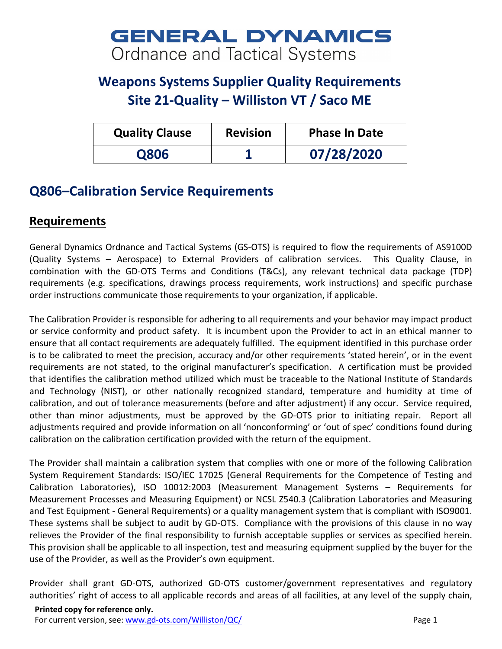## **GENERAL DYNAMICS Ordnance and Tactical Systems**

## **Weapons Systems Supplier Quality Requirements Site 21-Quality – Williston VT / Saco ME**

| <b>Quality Clause</b> | <b>Revision</b> | <b>Phase In Date</b> |
|-----------------------|-----------------|----------------------|
| Q806                  |                 | 07/28/2020           |

## **Q806–Calibration Service Requirements**

## **Requirements**

General Dynamics Ordnance and Tactical Systems (GS-OTS) is required to flow the requirements of AS9100D (Quality Systems – Aerospace) to External Providers of calibration services. This Quality Clause, in combination with the GD-OTS Terms and Conditions (T&Cs), any relevant technical data package (TDP) requirements (e.g. specifications, drawings process requirements, work instructions) and specific purchase order instructions communicate those requirements to your organization, if applicable.

The Calibration Provider is responsible for adhering to all requirements and your behavior may impact product or service conformity and product safety. It is incumbent upon the Provider to act in an ethical manner to ensure that all contact requirements are adequately fulfilled. The equipment identified in this purchase order is to be calibrated to meet the precision, accuracy and/or other requirements 'stated herein', or in the event requirements are not stated, to the original manufacturer's specification. A certification must be provided that identifies the calibration method utilized which must be traceable to the National Institute of Standards and Technology (NIST), or other nationally recognized standard, temperature and humidity at time of calibration, and out of tolerance measurements (before and after adjustment) if any occur. Service required, other than minor adjustments, must be approved by the GD-OTS prior to initiating repair. Report all adjustments required and provide information on all 'nonconforming' or 'out of spec' conditions found during calibration on the calibration certification provided with the return of the equipment.

The Provider shall maintain a calibration system that complies with one or more of the following Calibration System Requirement Standards: ISO/IEC 17025 (General Requirements for the Competence of Testing and Calibration Laboratories), ISO 10012:2003 (Measurement Management Systems – Requirements for Measurement Processes and Measuring Equipment) or NCSL Z540.3 (Calibration Laboratories and Measuring and Test Equipment - General Requirements) or a quality management system that is compliant with ISO9001. These systems shall be subject to audit by GD-OTS. Compliance with the provisions of this clause in no way relieves the Provider of the final responsibility to furnish acceptable supplies or services as specified herein. This provision shall be applicable to all inspection, test and measuring equipment supplied by the buyer for the use of the Provider, as well as the Provider's own equipment.

Provider shall grant GD-OTS, authorized GD-OTS customer/government representatives and regulatory authorities' right of access to all applicable records and areas of all facilities, at any level of the supply chain,